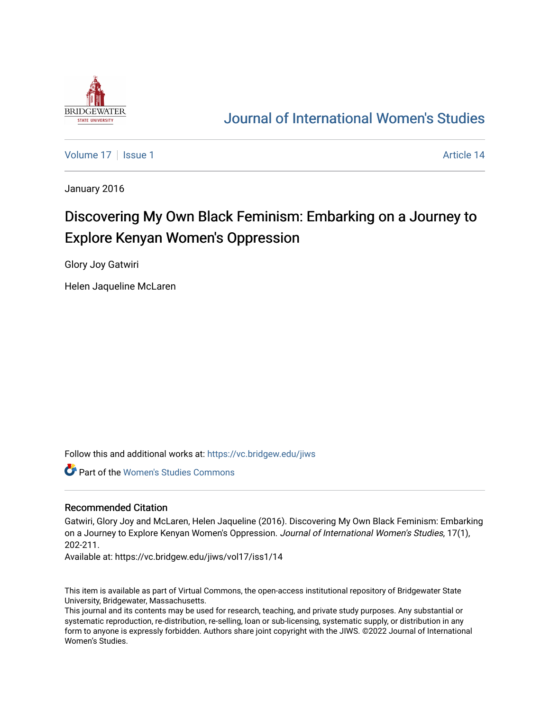

## [Journal of International Women's Studies](https://vc.bridgew.edu/jiws)

[Volume 17](https://vc.bridgew.edu/jiws/vol17) | [Issue 1](https://vc.bridgew.edu/jiws/vol17/iss1) Article 14

January 2016

# Discovering My Own Black Feminism: Embarking on a Journey to Explore Kenyan Women's Oppression

Glory Joy Gatwiri

Helen Jaqueline McLaren

Follow this and additional works at: [https://vc.bridgew.edu/jiws](https://vc.bridgew.edu/jiws?utm_source=vc.bridgew.edu%2Fjiws%2Fvol17%2Fiss1%2F14&utm_medium=PDF&utm_campaign=PDFCoverPages)

Part of the [Women's Studies Commons](http://network.bepress.com/hgg/discipline/561?utm_source=vc.bridgew.edu%2Fjiws%2Fvol17%2Fiss1%2F14&utm_medium=PDF&utm_campaign=PDFCoverPages) 

#### Recommended Citation

Gatwiri, Glory Joy and McLaren, Helen Jaqueline (2016). Discovering My Own Black Feminism: Embarking on a Journey to Explore Kenyan Women's Oppression. Journal of International Women's Studies, 17(1), 202-211.

Available at: https://vc.bridgew.edu/jiws/vol17/iss1/14

This item is available as part of Virtual Commons, the open-access institutional repository of Bridgewater State University, Bridgewater, Massachusetts.

This journal and its contents may be used for research, teaching, and private study purposes. Any substantial or systematic reproduction, re-distribution, re-selling, loan or sub-licensing, systematic supply, or distribution in any form to anyone is expressly forbidden. Authors share joint copyright with the JIWS. ©2022 Journal of International Women's Studies.